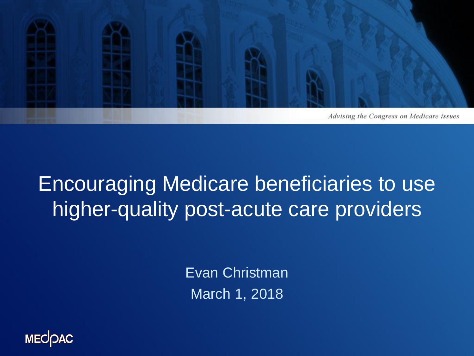

## Encouraging Medicare beneficiaries to use higher-quality post-acute care providers

Evan Christman March 1, 2018

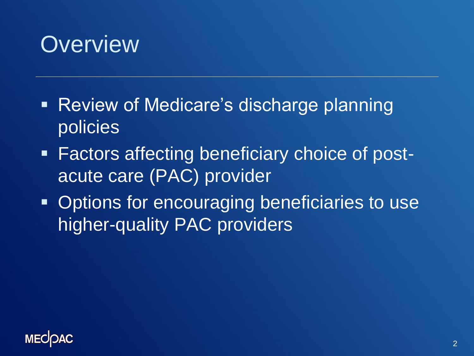## **Overview**

- Review of Medicare's discharge planning policies
- Factors affecting beneficiary choice of postacute care (PAC) provider
- **Options for encouraging beneficiaries to use** higher-quality PAC providers

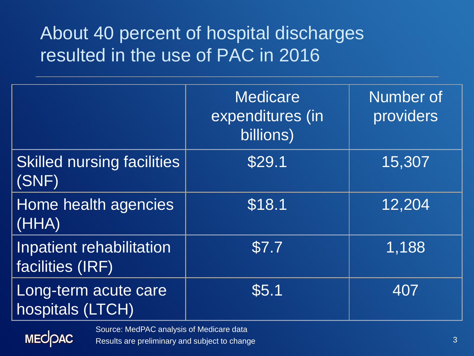#### About 40 percent of hospital discharges resulted in the use of PAC in 2016

|                                              | <b>Medicare</b><br>expenditures (in<br>billions) | Number of<br>providers |
|----------------------------------------------|--------------------------------------------------|------------------------|
| <b>Skilled nursing facilities</b><br>(SNF)   | \$29.1                                           | 15,307                 |
| Home health agencies<br>(HHA)                | \$18.1                                           | 12,204                 |
| Inpatient rehabilitation<br>facilities (IRF) | \$7.7                                            | 1,188                  |
| Long-term acute care<br>hospitals (LTCH)     | \$5.1                                            | 407                    |

**MECOAC** 

Source: MedPAC analysis of Medicare data

Results are preliminary and subject to change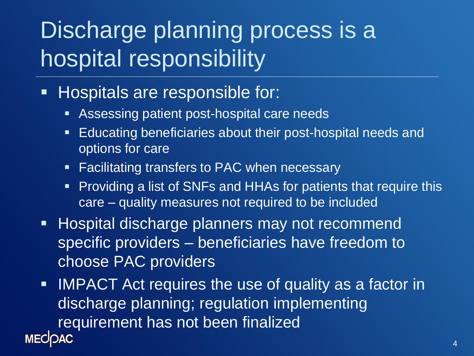# Discharge planning process is a hospital responsibility

- **Hospitals are responsible for:** 
	- **Assessing patient post-hospital care needs**
	- **Educating beneficiaries about their post-hospital needs and** options for care
	- **Facilitating transfers to PAC when necessary**
	- **Providing a list of SNFs and HHAs for patients that require this** care – quality measures not required to be included
- **Hospital discharge planners may not recommend** specific providers – beneficiaries have freedom to choose PAC providers
- **IMPACT Act requires the use of quality as a factor in** discharge planning; regulation implementing requirement has not been finalized**MECIOAC**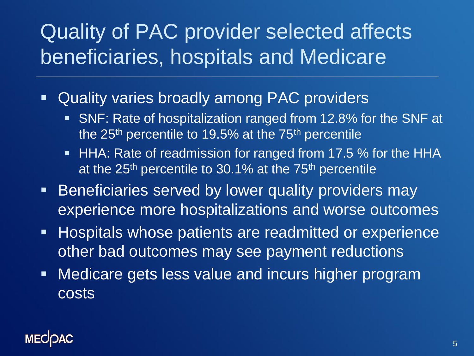## Quality of PAC provider selected affects beneficiaries, hospitals and Medicare

- Quality varies broadly among PAC providers
	- SNF: Rate of hospitalization ranged from 12.8% for the SNF at the 25<sup>th</sup> percentile to 19.5% at the 75<sup>th</sup> percentile
	- **HHA: Rate of readmission for ranged from 17.5 % for the HHA** at the  $25<sup>th</sup>$  percentile to 30.1% at the  $75<sup>th</sup>$  percentile
- **Beneficiaries served by lower quality providers may** experience more hospitalizations and worse outcomes
- **Hospitals whose patients are readmitted or experience** other bad outcomes may see payment reductions
- **Nedicare gets less value and incurs higher program** costs

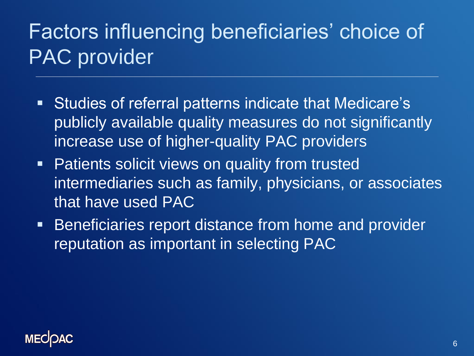## Factors influencing beneficiaries' choice of PAC provider

- Studies of referral patterns indicate that Medicare's publicly available quality measures do not significantly increase use of higher-quality PAC providers
- **Patients solicit views on quality from trusted** intermediaries such as family, physicians, or associates that have used PAC
- **Beneficiaries report distance from home and provider** reputation as important in selecting PAC

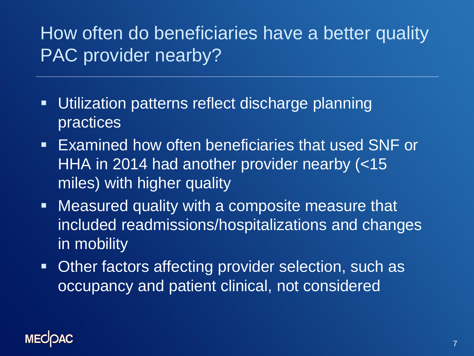## How often do beneficiaries have a better quality PAC provider nearby?

- Utilization patterns reflect discharge planning practices
- Examined how often beneficiaries that used SNF or HHA in 2014 had another provider nearby (<15 miles) with higher quality
- Measured quality with a composite measure that included readmissions/hospitalizations and changes in mobility
- **Other factors affecting provider selection, such as** occupancy and patient clinical, not considered

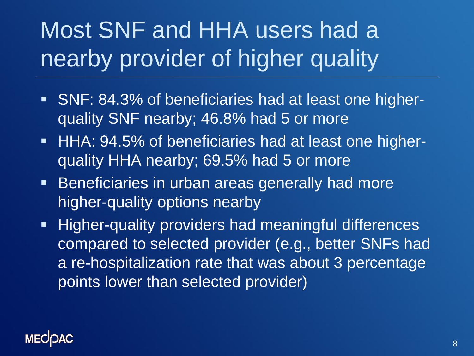# Most SNF and HHA users had a nearby provider of higher quality

- SNF: 84.3% of beneficiaries had at least one higherquality SNF nearby; 46.8% had 5 or more
- **HHA: 94.5% of beneficiaries had at least one higher**quality HHA nearby; 69.5% had 5 or more
- **Beneficiaries in urban areas generally had more** higher-quality options nearby
- **Higher-quality providers had meaningful differences** compared to selected provider (e.g., better SNFs had a re-hospitalization rate that was about 3 percentage points lower than selected provider)

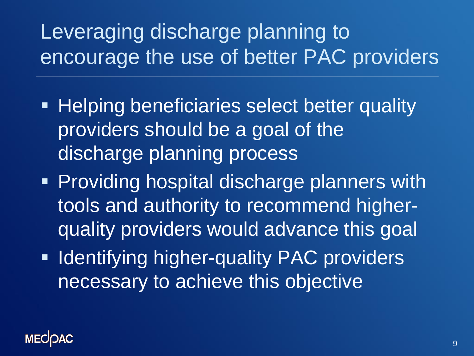## Leveraging discharge planning to encourage the use of better PAC providers

- **Helping beneficiaries select better quality** providers should be a goal of the discharge planning process
- **Providing hospital discharge planners with** tools and authority to recommend higherquality providers would advance this goal
- **Indentifying higher-quality PAC providers** necessary to achieve this objective

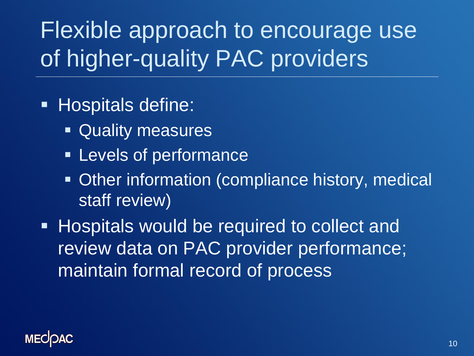Flexible approach to encourage use of higher-quality PAC providers

#### **Hospitals define:**

- **Quality measures**
- **Example 1 Levels of performance**
- Other information (compliance history, medical staff review)
- **Hospitals would be required to collect and** review data on PAC provider performance; maintain formal record of process

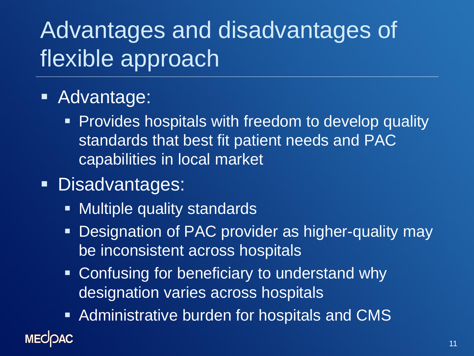# Advantages and disadvantages of flexible approach

#### **Advantage:**

- **Provides hospitals with freedom to develop quality** standards that best fit patient needs and PAC capabilities in local market
- **Disadvantages:** 
	- **Multiple quality standards**
	- **Designation of PAC provider as higher-quality may** be inconsistent across hospitals
	- Confusing for beneficiary to understand why designation varies across hospitals
	- **Example 2 Fig. 2** Administrative burden for hospitals and CMS

#### **MECOAC**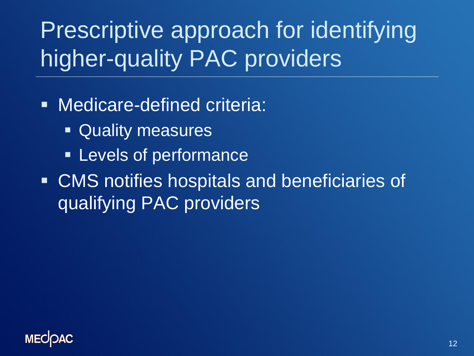Prescriptive approach for identifying higher-quality PAC providers

**Nedicare-defined criteria:** 

- **Quality measures**
- **Example 1 Levels of performance**
- CMS notifies hospitals and beneficiaries of qualifying PAC providers

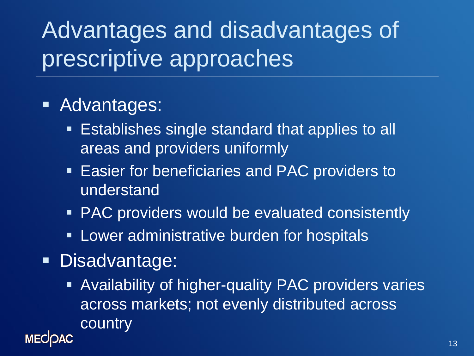Advantages and disadvantages of prescriptive approaches

#### **Advantages:**

- **Establishes single standard that applies to all** areas and providers uniformly
- **Easier for beneficiaries and PAC providers to** understand
- PAC providers would be evaluated consistently
- **Lower administrative burden for hospitals**
- **Disadvantage:**

**MECK** 

**Availability of higher-quality PAC providers varies** across markets; not evenly distributed across country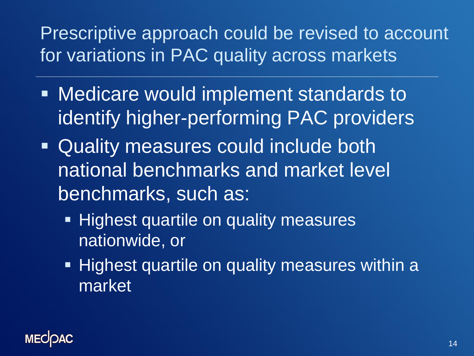## Prescriptive approach could be revised to account for variations in PAC quality across markets

- Medicare would implement standards to identify higher-performing PAC providers
- Quality measures could include both national benchmarks and market level benchmarks, such as:
	- **Highest quartile on quality measures** nationwide, or
	- **Highest quartile on quality measures within a** market

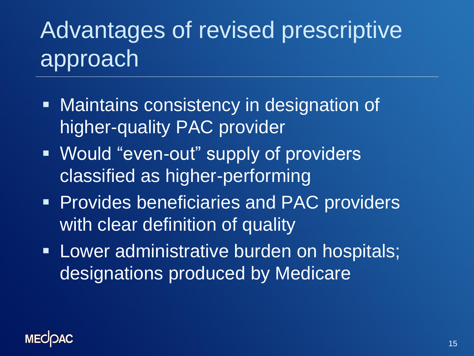# Advantages of revised prescriptive approach

- **Maintains consistency in designation of** higher-quality PAC provider
- Would "even-out" supply of providers classified as higher-performing
- **Provides beneficiaries and PAC providers** with clear definition of quality
- **Lower administrative burden on hospitals;** designations produced by Medicare